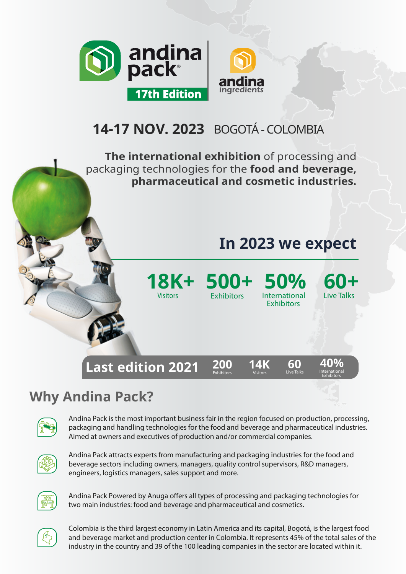



# **14-17 NOV. 2023** BOGOTÁ - COLOMBIA



# **Why Andina Pack?**



Andina Pack is the most important business fair in the region focused on production, processing, packaging and handling technologies for the food and beverage and pharmaceutical industries. Aimed at owners and executives of production and/or commercial companies.



Andina Pack attracts experts from manufacturing and packaging industries for the food and beverage sectors including owners, managers, quality control supervisors, R&D managers, engineers, logistics managers, sales support and more.



Andina Pack Powered by Anuga offers all types of processing and packaging technologies for two main industries: food and beverage and pharmaceutical and cosmetics.



Colombia is the third largest economy in Latin America and its capital, Bogotá, is the largest food and beverage market and production center in Colombia. It represents 45% of the total sales of the industry in the country and 39 of the 100 leading companies in the sector are located within it.